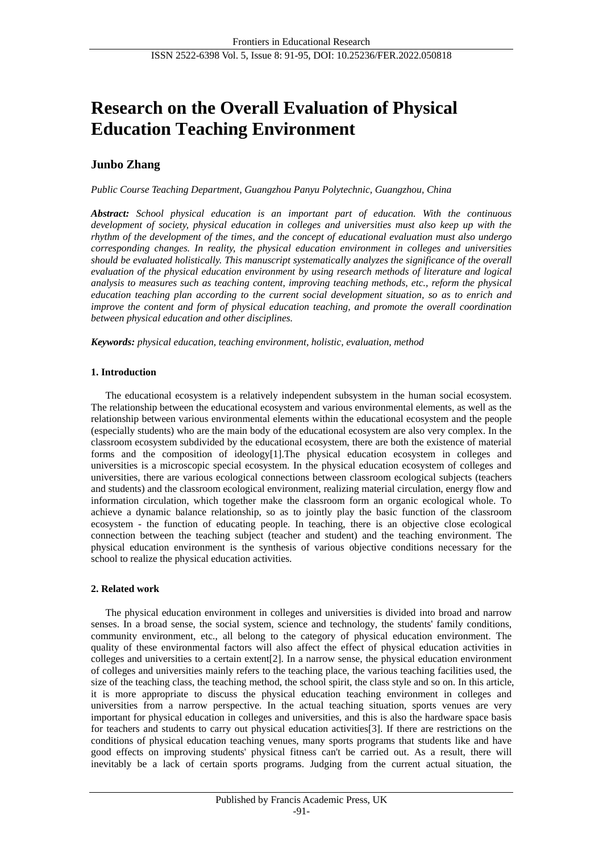# **Research on the Overall Evaluation of Physical Education Teaching Environment**

## **Junbo Zhang**

*Public Course Teaching Department, Guangzhou Panyu Polytechnic, Guangzhou, China*

*Abstract: School physical education is an important part of education. With the continuous development of society, physical education in colleges and universities must also keep up with the rhythm of the development of the times, and the concept of educational evaluation must also undergo corresponding changes. In reality, the physical education environment in colleges and universities should be evaluated holistically. This manuscript systematically analyzes the significance of the overall evaluation of the physical education environment by using research methods of literature and logical analysis to measures such as teaching content, improving teaching methods, etc., reform the physical education teaching plan according to the current social development situation, so as to enrich and improve the content and form of physical education teaching, and promote the overall coordination between physical education and other disciplines.*

*Keywords: physical education, teaching environment, holistic, evaluation, method*

## **1. Introduction**

The educational ecosystem is a relatively independent subsystem in the human social ecosystem. The relationship between the educational ecosystem and various environmental elements, as well as the relationship between various environmental elements within the educational ecosystem and the people (especially students) who are the main body of the educational ecosystem are also very complex. In the classroom ecosystem subdivided by the educational ecosystem, there are both the existence of material forms and the composition of ideology[1].The physical education ecosystem in colleges and universities is a microscopic special ecosystem. In the physical education ecosystem of colleges and universities, there are various ecological connections between classroom ecological subjects (teachers and students) and the classroom ecological environment, realizing material circulation, energy flow and information circulation, which together make the classroom form an organic ecological whole. To achieve a dynamic balance relationship, so as to jointly play the basic function of the classroom ecosystem - the function of educating people. In teaching, there is an objective close ecological connection between the teaching subject (teacher and student) and the teaching environment. The physical education environment is the synthesis of various objective conditions necessary for the school to realize the physical education activities.

## **2. Related work**

The physical education environment in colleges and universities is divided into broad and narrow senses. In a broad sense, the social system, science and technology, the students' family conditions, community environment, etc., all belong to the category of physical education environment. The quality of these environmental factors will also affect the effect of physical education activities in colleges and universities to a certain extent[2]. In a narrow sense, the physical education environment of colleges and universities mainly refers to the teaching place, the various teaching facilities used, the size of the teaching class, the teaching method, the school spirit, the class style and so on. In this article, it is more appropriate to discuss the physical education teaching environment in colleges and universities from a narrow perspective. In the actual teaching situation, sports venues are very important for physical education in colleges and universities, and this is also the hardware space basis for teachers and students to carry out physical education activities<sup>[3]</sup>. If there are restrictions on the conditions of physical education teaching venues, many sports programs that students like and have good effects on improving students' physical fitness can't be carried out. As a result, there will inevitably be a lack of certain sports programs. Judging from the current actual situation, the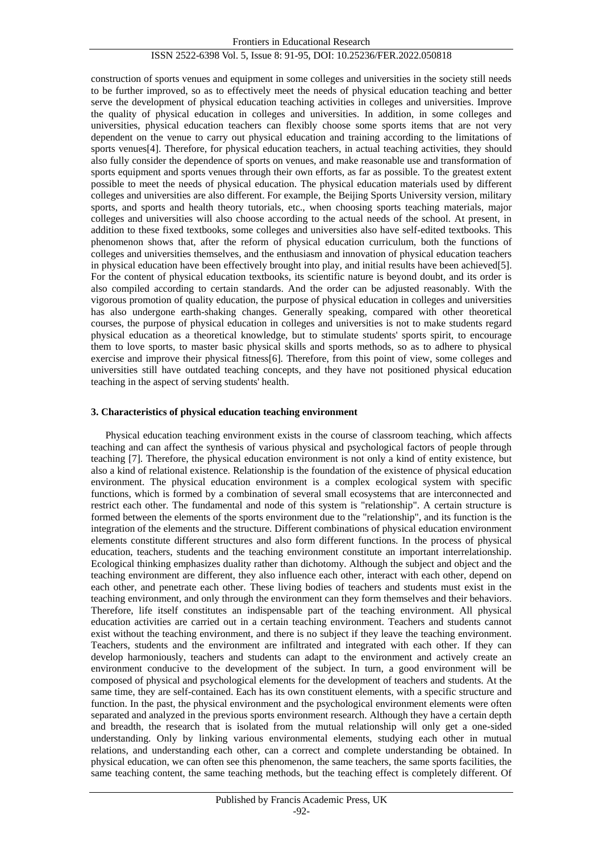construction of sports venues and equipment in some colleges and universities in the society still needs to be further improved, so as to effectively meet the needs of physical education teaching and better serve the development of physical education teaching activities in colleges and universities. Improve the quality of physical education in colleges and universities. In addition, in some colleges and universities, physical education teachers can flexibly choose some sports items that are not very dependent on the venue to carry out physical education and training according to the limitations of sports venues[4]. Therefore, for physical education teachers, in actual teaching activities, they should also fully consider the dependence of sports on venues, and make reasonable use and transformation of sports equipment and sports venues through their own efforts, as far as possible. To the greatest extent possible to meet the needs of physical education. The physical education materials used by different colleges and universities are also different. For example, the Beijing Sports University version, military sports, and sports and health theory tutorials, etc., when choosing sports teaching materials, major colleges and universities will also choose according to the actual needs of the school. At present, in addition to these fixed textbooks, some colleges and universities also have self-edited textbooks. This phenomenon shows that, after the reform of physical education curriculum, both the functions of colleges and universities themselves, and the enthusiasm and innovation of physical education teachers in physical education have been effectively brought into play, and initial results have been achieved[5]. For the content of physical education textbooks, its scientific nature is beyond doubt, and its order is also compiled according to certain standards. And the order can be adjusted reasonably. With the vigorous promotion of quality education, the purpose of physical education in colleges and universities has also undergone earth-shaking changes. Generally speaking, compared with other theoretical courses, the purpose of physical education in colleges and universities is not to make students regard physical education as a theoretical knowledge, but to stimulate students' sports spirit, to encourage them to love sports, to master basic physical skills and sports methods, so as to adhere to physical exercise and improve their physical fitness[6]. Therefore, from this point of view, some colleges and universities still have outdated teaching concepts, and they have not positioned physical education teaching in the aspect of serving students' health.

#### **3. Characteristics of physical education teaching environment**

Physical education teaching environment exists in the course of classroom teaching, which affects teaching and can affect the synthesis of various physical and psychological factors of people through teaching [7]. Therefore, the physical education environment is not only a kind of entity existence, but also a kind of relational existence. Relationship is the foundation of the existence of physical education environment. The physical education environment is a complex ecological system with specific functions, which is formed by a combination of several small ecosystems that are interconnected and restrict each other. The fundamental and node of this system is "relationship". A certain structure is formed between the elements of the sports environment due to the "relationship", and its function is the integration of the elements and the structure. Different combinations of physical education environment elements constitute different structures and also form different functions. In the process of physical education, teachers, students and the teaching environment constitute an important interrelationship. Ecological thinking emphasizes duality rather than dichotomy. Although the subject and object and the teaching environment are different, they also influence each other, interact with each other, depend on each other, and penetrate each other. These living bodies of teachers and students must exist in the teaching environment, and only through the environment can they form themselves and their behaviors. Therefore, life itself constitutes an indispensable part of the teaching environment. All physical education activities are carried out in a certain teaching environment. Teachers and students cannot exist without the teaching environment, and there is no subject if they leave the teaching environment. Teachers, students and the environment are infiltrated and integrated with each other. If they can develop harmoniously, teachers and students can adapt to the environment and actively create an environment conducive to the development of the subject. In turn, a good environment will be composed of physical and psychological elements for the development of teachers and students. At the same time, they are self-contained. Each has its own constituent elements, with a specific structure and function. In the past, the physical environment and the psychological environment elements were often separated and analyzed in the previous sports environment research. Although they have a certain depth and breadth, the research that is isolated from the mutual relationship will only get a one-sided understanding. Only by linking various environmental elements, studying each other in mutual relations, and understanding each other, can a correct and complete understanding be obtained. In physical education, we can often see this phenomenon, the same teachers, the same sports facilities, the same teaching content, the same teaching methods, but the teaching effect is completely different. Of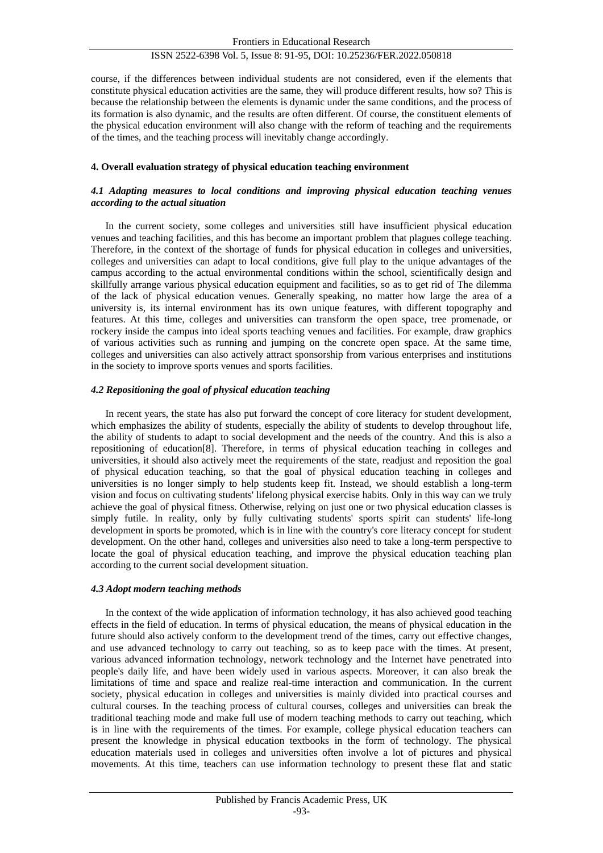course, if the differences between individual students are not considered, even if the elements that constitute physical education activities are the same, they will produce different results, how so? This is because the relationship between the elements is dynamic under the same conditions, and the process of its formation is also dynamic, and the results are often different. Of course, the constituent elements of the physical education environment will also change with the reform of teaching and the requirements of the times, and the teaching process will inevitably change accordingly.

#### **4. Overall evaluation strategy of physical education teaching environment**

#### *4.1 Adapting measures to local conditions and improving physical education teaching venues according to the actual situation*

In the current society, some colleges and universities still have insufficient physical education venues and teaching facilities, and this has become an important problem that plagues college teaching. Therefore, in the context of the shortage of funds for physical education in colleges and universities, colleges and universities can adapt to local conditions, give full play to the unique advantages of the campus according to the actual environmental conditions within the school, scientifically design and skillfully arrange various physical education equipment and facilities, so as to get rid of The dilemma of the lack of physical education venues. Generally speaking, no matter how large the area of a university is, its internal environment has its own unique features, with different topography and features. At this time, colleges and universities can transform the open space, tree promenade, or rockery inside the campus into ideal sports teaching venues and facilities. For example, draw graphics of various activities such as running and jumping on the concrete open space. At the same time, colleges and universities can also actively attract sponsorship from various enterprises and institutions in the society to improve sports venues and sports facilities.

#### *4.2 Repositioning the goal of physical education teaching*

In recent years, the state has also put forward the concept of core literacy for student development, which emphasizes the ability of students, especially the ability of students to develop throughout life, the ability of students to adapt to social development and the needs of the country. And this is also a repositioning of education[8]. Therefore, in terms of physical education teaching in colleges and universities, it should also actively meet the requirements of the state, readjust and reposition the goal of physical education teaching, so that the goal of physical education teaching in colleges and universities is no longer simply to help students keep fit. Instead, we should establish a long-term vision and focus on cultivating students' lifelong physical exercise habits. Only in this way can we truly achieve the goal of physical fitness. Otherwise, relying on just one or two physical education classes is simply futile. In reality, only by fully cultivating students' sports spirit can students' life-long development in sports be promoted, which is in line with the country's core literacy concept for student development. On the other hand, colleges and universities also need to take a long-term perspective to locate the goal of physical education teaching, and improve the physical education teaching plan according to the current social development situation.

#### *4.3 Adopt modern teaching methods*

In the context of the wide application of information technology, it has also achieved good teaching effects in the field of education. In terms of physical education, the means of physical education in the future should also actively conform to the development trend of the times, carry out effective changes, and use advanced technology to carry out teaching, so as to keep pace with the times. At present, various advanced information technology, network technology and the Internet have penetrated into people's daily life, and have been widely used in various aspects. Moreover, it can also break the limitations of time and space and realize real-time interaction and communication. In the current society, physical education in colleges and universities is mainly divided into practical courses and cultural courses. In the teaching process of cultural courses, colleges and universities can break the traditional teaching mode and make full use of modern teaching methods to carry out teaching, which is in line with the requirements of the times. For example, college physical education teachers can present the knowledge in physical education textbooks in the form of technology. The physical education materials used in colleges and universities often involve a lot of pictures and physical movements. At this time, teachers can use information technology to present these flat and static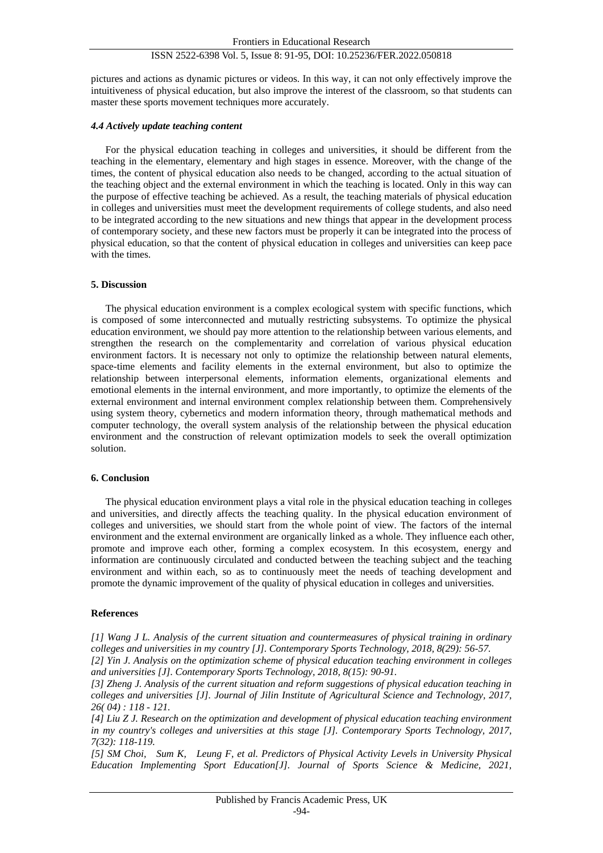pictures and actions as dynamic pictures or videos. In this way, it can not only effectively improve the intuitiveness of physical education, but also improve the interest of the classroom, so that students can master these sports movement techniques more accurately.

#### *4.4 Actively update teaching content*

For the physical education teaching in colleges and universities, it should be different from the teaching in the elementary, elementary and high stages in essence. Moreover, with the change of the times, the content of physical education also needs to be changed, according to the actual situation of the teaching object and the external environment in which the teaching is located. Only in this way can the purpose of effective teaching be achieved. As a result, the teaching materials of physical education in colleges and universities must meet the development requirements of college students, and also need to be integrated according to the new situations and new things that appear in the development process of contemporary society, and these new factors must be properly it can be integrated into the process of physical education, so that the content of physical education in colleges and universities can keep pace with the times.

#### **5. Discussion**

The physical education environment is a complex ecological system with specific functions, which is composed of some interconnected and mutually restricting subsystems. To optimize the physical education environment, we should pay more attention to the relationship between various elements, and strengthen the research on the complementarity and correlation of various physical education environment factors. It is necessary not only to optimize the relationship between natural elements, space-time elements and facility elements in the external environment, but also to optimize the relationship between interpersonal elements, information elements, organizational elements and emotional elements in the internal environment, and more importantly, to optimize the elements of the external environment and internal environment complex relationship between them. Comprehensively using system theory, cybernetics and modern information theory, through mathematical methods and computer technology, the overall system analysis of the relationship between the physical education environment and the construction of relevant optimization models to seek the overall optimization solution.

#### **6. Conclusion**

The physical education environment plays a vital role in the physical education teaching in colleges and universities, and directly affects the teaching quality. In the physical education environment of colleges and universities, we should start from the whole point of view. The factors of the internal environment and the external environment are organically linked as a whole. They influence each other, promote and improve each other, forming a complex ecosystem. In this ecosystem, energy and information are continuously circulated and conducted between the teaching subject and the teaching environment and within each, so as to continuously meet the needs of teaching development and promote the dynamic improvement of the quality of physical education in colleges and universities.

#### **References**

*[1] Wang J L. Analysis of the current situation and countermeasures of physical training in ordinary colleges and universities in my country [J]. Contemporary Sports Technology, 2018, 8(29): 56-57.*

*[2] Yin J. Analysis on the optimization scheme of physical education teaching environment in colleges and universities [J]. Contemporary Sports Technology, 2018, 8(15): 90-91.*

*[3] Zheng J. Analysis of the current situation and reform suggestions of physical education teaching in colleges and universities [J]. Journal of Jilin Institute of Agricultural Science and Technology, 2017, 26( 04) : 118 - 121.*

*[4] Liu Z J. Research on the optimization and development of physical education teaching environment in my country's colleges and universities at this stage [J]. Contemporary Sports Technology, 2017, 7(32): 118-119.*

*[5] SM Choi, Sum K, Leung F, et al. Predictors of Physical Activity Levels in University Physical Education Implementing Sport Education[J]. Journal of Sports Science & Medicine, 2021,*